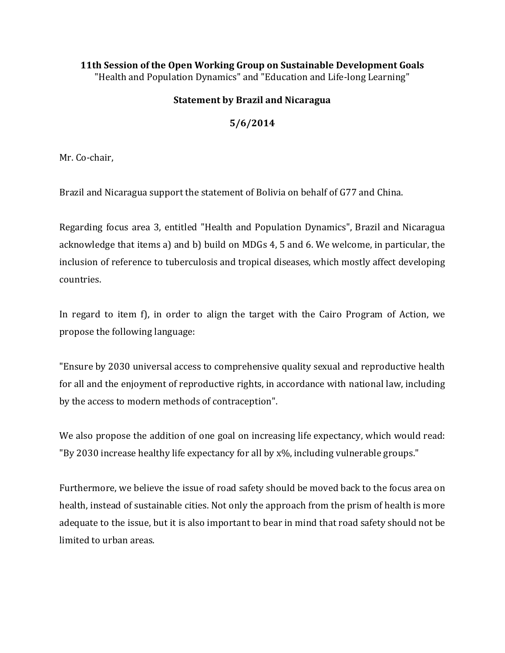## **11th Session of the Open Working Group on Sustainable Development Goals** "Health and Population Dynamics" and "Education and Life-long Learning"

## **Statement by Brazil and Nicaragua**

## **5/6/2014**

Mr. Co-chair,

Brazil and Nicaragua support the statement of Bolivia on behalf of G77 and China.

Regarding focus area 3, entitled "Health and Population Dynamics", Brazil and Nicaragua acknowledge that items a) and b) build on MDGs 4, 5 and 6. We welcome, in particular, the inclusion of reference to tuberculosis and tropical diseases, which mostly affect developing countries.

In regard to item f), in order to align the target with the Cairo Program of Action, we propose the following language:

"Ensure by 2030 universal access to comprehensive quality sexual and reproductive health for all and the enjoyment of reproductive rights, in accordance with national law, including by the access to modern methods of contraception".

We also propose the addition of one goal on increasing life expectancy, which would read: "By 2030 increase healthy life expectancy for all by x%, including vulnerable groups."

Furthermore, we believe the issue of road safety should be moved back to the focus area on health, instead of sustainable cities. Not only the approach from the prism of health is more adequate to the issue, but it is also important to bear in mind that road safety should not be limited to urban areas.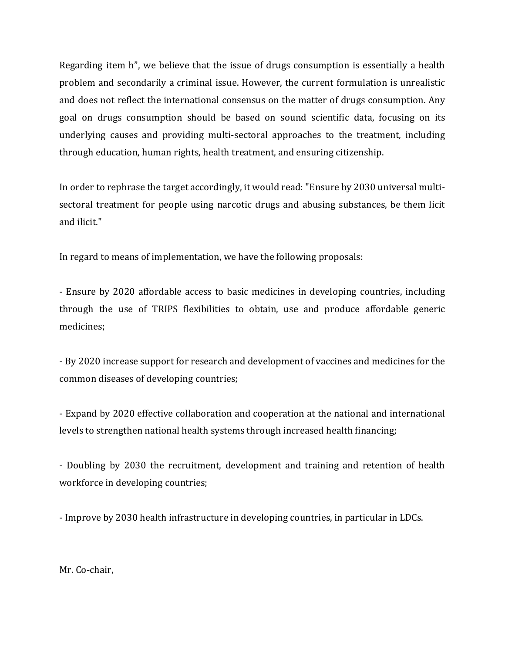Regarding item h", we believe that the issue of drugs consumption is essentially a health problem and secondarily a criminal issue. However, the current formulation is unrealistic and does not reflect the international consensus on the matter of drugs consumption. Any goal on drugs consumption should be based on sound scientific data, focusing on its underlying causes and providing multi-sectoral approaches to the treatment, including through education, human rights, health treatment, and ensuring citizenship.

In order to rephrase the target accordingly, it would read: "Ensure by 2030 universal multisectoral treatment for people using narcotic drugs and abusing substances, be them licit and ilicit."

In regard to means of implementation, we have the following proposals:

- Ensure by 2020 affordable access to basic medicines in developing countries, including through the use of TRIPS flexibilities to obtain, use and produce affordable generic medicines;

- By 2020 increase support for research and development of vaccines and medicines for the common diseases of developing countries;

- Expand by 2020 effective collaboration and cooperation at the national and international levels to strengthen national health systems through increased health financing;

- Doubling by 2030 the recruitment, development and training and retention of health workforce in developing countries;

- Improve by 2030 health infrastructure in developing countries, in particular in LDCs.

Mr. Co-chair,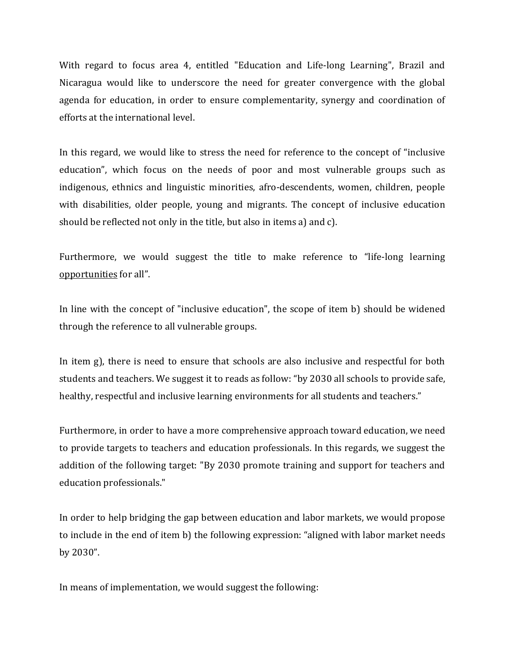With regard to focus area 4, entitled "Education and Life-long Learning", Brazil and Nicaragua would like to underscore the need for greater convergence with the global agenda for education, in order to ensure complementarity, synergy and coordination of efforts at the international level.

In this regard, we would like to stress the need for reference to the concept of "inclusive education", which focus on the needs of poor and most vulnerable groups such as indigenous, ethnics and linguistic minorities, afro-descendents, women, children, people with disabilities, older people, young and migrants. The concept of inclusive education should be reflected not only in the title, but also in items a) and c).

Furthermore, we would suggest the title to make reference to "life-long learning opportunities for all".

In line with the concept of "inclusive education", the scope of item b) should be widened through the reference to all vulnerable groups.

In item g), there is need to ensure that schools are also inclusive and respectful for both students and teachers. We suggest it to reads as follow: "by 2030 all schools to provide safe, healthy, respectful and inclusive learning environments for all students and teachers."

Furthermore, in order to have a more comprehensive approach toward education, we need to provide targets to teachers and education professionals. In this regards, we suggest the addition of the following target: "By 2030 promote training and support for teachers and education professionals."

In order to help bridging the gap between education and labor markets, we would propose to include in the end of item b) the following expression: "aligned with labor market needs by 2030".

In means of implementation, we would suggest the following: